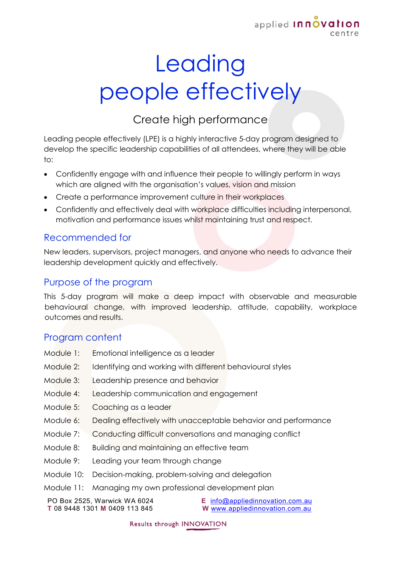

# **Leading** people effectively

## Create high performance

Leading people effectively (LPE) is a highly interactive 5-day program designed to develop the specific leadership capabilities of all attendees, where they will be able to:

- Confidently engage with and influence their people to willingly perform in ways which are aligned with the organisation's values, vision and mission
- Create a performance improvement culture in their workplaces
- Confidently and effectively deal with workplace difficulties including interpersonal, motivation and performance issues whilst maintaining trust and respect.

#### Recommended for

New leaders, supervisors, project managers, and anyone who needs to advance their leadership development quickly and effectively.

#### Purpose of the program

This 5-day program will make a deep impact with observable and measurable behavioural change, with improved leadership, attitude, capability, workplace outcomes and results.

#### Program content

- Module 1: Emotional intelligence as a leader
- Module 2: Identifying and working with different behavioural styles
- Module 3: Leadership presence and behavior
- Module 4: Leadership communication and engagement
- Module 5: Coaching as a leader
- Module 6: Dealing effectively with unacceptable behavior and performance
- Module 7: Conducting difficult conversations and managing conflict
- Module 8: Building and maintaining an effective team
- Module 9: Leading your team through change
- Module 10: Decision-making, problem-solving and delegation
- Module 11: Managing my own professional development plan

PO Box 2525, Warwick WA 6024 **T** 08 9448 1301 **M** 0409 113 845

**E** [info@appliedinnovation.com.au](mailto:info@appliedinnovation.com.au) **W** [www.appliedinnovation.com.au](http://www.appliedinnovation.com.au/)